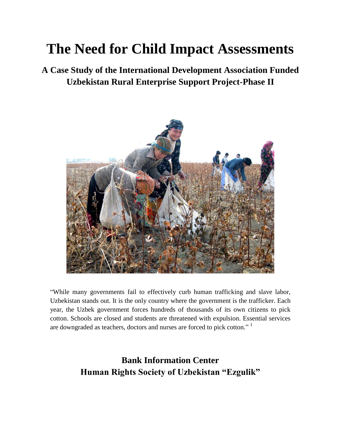# **The Need for Child Impact Assessments**

**A Case Study of the International Development Association Funded Uzbekistan Rural Enterprise Support Project-Phase II** 



"While many governments fail to effectively curb human trafficking and slave labor, Uzbekistan stands out. It is the only country where the government is the trafficker. Each year, the Uzbek government forces hundreds of thousands of its own citizens to pick cotton. Schools are closed and students are threatened with expulsion. Essential services are downgraded as teachers, doctors and nurses are forced to pick cotton."<sup>1</sup>

> **Bank Information Center Human Rights Society of Uzbekistan "Ezgulik"**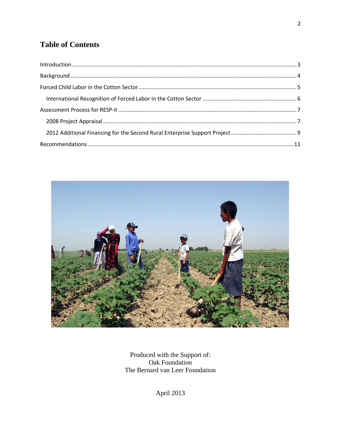# **Table of Contents**



Produced with the Support of:<br>Oak Foundation The Bernard van Leer Foundation

April 2013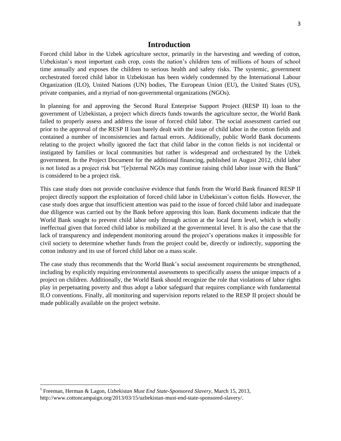# **Introduction**

<span id="page-2-0"></span>Forced child labor in the Uzbek agriculture sector, primarily in the harvesting and weeding of cotton, Uzbekistan's most important cash crop, costs the nation's children tens of millions of hours of school time annually and exposes the children to serious health and safety risks. The systemic, government orchestrated forced child labor in Uzbekistan has been widely condemned by the International Labour Organization (ILO), United Nations (UN) bodies, The European Union (EU), the United States (US), private companies, and a myriad of non-governmental organizations (NGOs).

In planning for and approving the Second Rural Enterprise Support Project (RESP II) loan to the government of Uzbekistan, a project which directs funds towards the agriculture sector, the World Bank failed to properly assess and address the issue of forced child labor. The social assessment carried out prior to the approval of the RESP II loan barely dealt with the issue of child labor in the cotton fields and contained a number of inconsistencies and factual errors. Additionally, public World Bank documents relating to the project wholly ignored the fact that child labor in the cotton fields is not incidental or instigated by families or local communities but rather is widespread and orchestrated by the Uzbek government. In the Project Document for the additional financing, published in August 2012, child labor is not listed as a project risk but "[e]xternal NGOs may continue raising child labor issue with the Bank" is considered to be a project risk.

This case study does not provide conclusive evidence that funds from the World Bank financed RESP II project directly support the exploitation of forced child labor in Uzbekistan's cotton fields. However, the case study does argue that insufficient attention was paid to the issue of forced child labor and inadequate due diligence was carried out by the Bank before approving this loan. Bank documents indicate that the World Bank sought to prevent child labor only through action at the local farm level, which is wholly ineffectual given that forced child labor is mobilized at the governmental level. It is also the case that the lack of transparency and independent monitoring around the project's operations makes it impossible for civil society to determine whether funds from the project could be, directly or indirectly, supporting the cotton industry and its use of forced child labor on a mass scale.

The case study thus recommends that the World Bank's social assessment requirements be strengthened, including by explicitly requiring environmental assessments to specifically assess the unique impacts of a project on children. Additionally, the World Bank should recognize the role that violations of labor rights play in perpetuating poverty and thus adopt a labor safeguard that requires compliance with fundamental ILO conventions. Finally, all monitoring and supervision reports related to the RESP II project should be made publically available on the project website.

l

<sup>1</sup> Freeman, Herman & Lagon, *Uzbekistan Must End State-Sponsored Slavery*, March 15, 2013, http://www.cottoncampaign.org/2013/03/15/uzbekistan-must-end-state-sponsored-slavery/.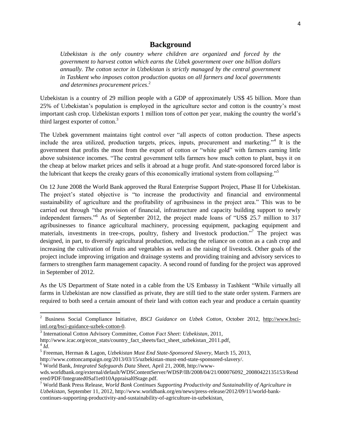# **Background**

<span id="page-3-0"></span>*Uzbekistan is the only country where children are organized and forced by the government to harvest cotton which earns the Uzbek government over one billion dollars annually. The cotton sector in Uzbekistan is strictly managed by the central government in Tashkent who imposes cotton production quotas on all farmers and local governments and determines procurement prices*. 2

Uzbekistan is a country of 29 million people with a GDP of approximately US\$ 45 billion. More than 25% of Uzbekistan's population is employed in the agriculture sector and cotton is the country's most important cash crop. Uzbekistan exports 1 million tons of cotton per year, making the country the world's third largest exporter of cotton.<sup>3</sup>

The Uzbek government maintains tight control over "all aspects of cotton production. These aspects include the area utilized, production targets, prices, inputs, procurement and marketing."<sup>4</sup> It is the government that profits the most from the export of cotton or "white gold" with farmers earning little above subsistence incomes. "The central government tells farmers how much cotton to plant, buys it on the cheap at below market prices and sells it abroad at a huge profit. And state-sponsored forced labor is the lubricant that keeps the creaky gears of this economically irrational system from collapsing."<sup>5</sup>

On 12 June 2008 the World Bank approved the Rural Enterprise Support Project, Phase II for Uzbekistan. The project's stated objective is "to increase the productivity and financial and environmental sustainability of agriculture and the profitability of agribusiness in the project area." This was to be carried out through "the provision of financial, infrastructure and capacity building support to newly independent farmers."<sup>6</sup> As of September 2012, the project made loans of "US\$ 25.7 million to 317 agribusinesses to finance agricultural machinery, processing equipment, packaging equipment and materials, investments in tree-crops, poultry, fishery and livestock production."<sup>7</sup> The project was designed, in part, to diversify agricultural production, reducing the reliance on cotton as a cash crop and increasing the cultivation of fruits and vegetables as well as the raising of livestock. Other goals of the project include improving irrigation and drainage systems and providing training and advisory services to farmers to strengthen farm management capacity. A second round of funding for the project was approved in September of 2012.

As the US Department of State noted in a cable from the US Embassy in Tashkent "While virtually all farms in Uzbekistan are now classified as private, they are still tied to the state order system. Farmers are required to both seed a certain amount of their land with cotton each year and produce a certain quantity

<sup>2</sup> Business Social Compliance Initiative, *BSCI Guidance on Uzbek Cotton*, October 2012, [http://www.bsci](http://www.bsci-intl.org/bsci-guidance-uzbek-cotton-0)[intl.org/bsci-guidance-uzbek-cotton-0.](http://www.bsci-intl.org/bsci-guidance-uzbek-cotton-0)

<sup>3</sup> International Cotton Advisory Committee, *Cotton Fact Sheet: Uzbekistan*, 2011,

http://www.icac.org/econ\_stats/country\_fact\_sheets/fact\_sheet\_uzbekistan\_2011.pdf.  $^{4}$ *Id*.

<sup>5</sup> Freeman, Herman & Lagon, *Uzbekistan Must End State-Sponsored Slavery*, March 15, 2013,

http://www.cottoncampaign.org/2013/03/15/uzbekistan-must-end-state-sponsored-slavery/.

<sup>6</sup> World Bank, *Integrated Safeguards Data Sheet*, April 21, 2008, http://www-

wds.worldbank.org/external/default/WDSContentServer/WDSP/IB/2008/04/21/000076092\_20080422135153/Rend ered/PDF/Integrated0Saf1et010Appraisal0Stage.pdf.

<sup>7</sup> World Bank Press Release, *World Bank Continues Supporting Productivity and Sustainability of Agriculture in Uzbekistan*, September 11, 2012, http://www.worldbank.org/en/news/press-release/2012/09/11/world-bankcontinues-supporting-productivity-and-sustainability-of-agriculture-in-uzbekistan.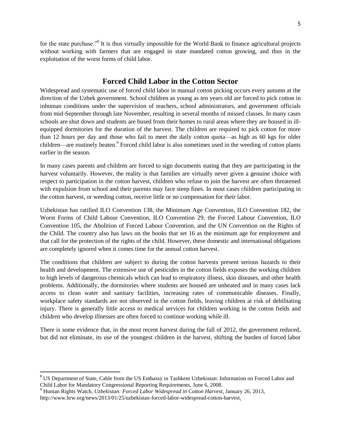for the state purchase."<sup>8</sup> It is thus virtually impossible for the World Bank to finance agricultural projects without working with farmers that are engaged in state mandated cotton growing, and thus in the exploitation of the worst forms of child labor.

# **Forced Child Labor in the Cotton Sector**

<span id="page-4-0"></span>Widespread and systematic use of forced child labor in manual cotton picking occurs every autumn at the direction of the Uzbek government. School children as young as ten years old are forced to pick cotton in inhuman conditions under the supervision of teachers, school administrators, and government officials from mid-September through late November, resulting in several months of missed classes. In many cases schools are shut down and students are bused from their homes to rural areas where they are housed in illequipped dormitories for the duration of the harvest. The children are required to pick cotton for more than 12 hours per day and those who fail to meet the daily cotton quota—as high as 60 kgs for older children—are routinely beaten.<sup>9</sup> Forced child labor is also sometimes used in the weeding of cotton plants earlier in the season.

In many cases parents and children are forced to sign documents stating that they are participating in the harvest voluntarily. However, the reality is that families are virtually never given a genuine choice with respect to participation in the cotton harvest, children who refuse to join the harvest are often threatened with expulsion from school and their parents may face steep fines. In most cases children participating in the cotton harvest, or weeding cotton, receive little or no compensation for their labor.

Uzbekistan has ratified ILO Convention 138, the Minimum Age Convention, ILO Convention 182, the Worst Forms of Child Labour Convention, ILO Convention 29, the Forced Labour Convention, ILO Convention 105, the Abolition of Forced Labour Convention, and the UN Convention on the Rights of the Child. The country also has laws on the books that set 16 as the minimum age for employment and that call for the protection of the rights of the child. However, these domestic and international obligations are completely ignored when it comes time for the annual cotton harvest.

The conditions that children are subject to during the cotton harvests present serious hazards to their health and development. The extensive use of pesticides in the cotton fields exposes the working children to high levels of dangerous chemicals which can lead to respiratory illness, skin diseases, and other health problems. Additionally, the dormitories where students are housed are unheated and in many cases lack access to clean water and sanitary facilities, increasing rates of communicable diseases. Finally, workplace safety standards are not observed in the cotton fields, leaving children at risk of debilitating injury. There is generally little access to medical services for children working in the cotton fields and children who develop illnesses are often forced to continue working while ill.

There is some evidence that, in the most recent harvest during the fall of 2012, the government reduced, but did not eliminate, its use of the youngest children in the harvest, shifting the burden of forced labor

<sup>&</sup>lt;sup>8</sup> US Department of State, Cable from the US Embassy in Tashkent Uzbekistan: Information on Forced Labor and Child Labor for Mandatory Congressional Reporting Requirements, June 6, 2008.

<sup>9</sup> Human Rights Watch, *Uzbekistan: Forced Labor Widespread in Cotton Harvest*, January 26, 2013, http://www.hrw.org/news/2013/01/25/uzbekistan-forced-labor-widespread-cotton-harvest.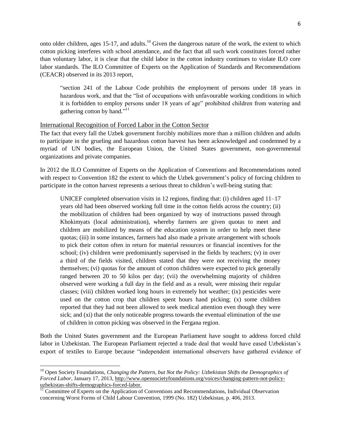onto older children, ages 15-17, and adults.<sup>10</sup> Given the dangerous nature of the work, the extent to which cotton picking interferes with school attendance, and the fact that all such work constitutes forced rather than voluntary labor, it is clear that the child labor in the cotton industry continues to violate ILO core labor standards. The ILO Committee of Experts on the Application of Standards and Recommendations (CEACR) observed in its 2013 report,

"section 241 of the Labour Code prohibits the employment of persons under 18 years in hazardous work, and that the "list of occupations with unfavourable working conditions in which it is forbidden to employ persons under 18 years of age" prohibited children from watering and gathering cotton by hand."<sup>11</sup>

#### <span id="page-5-0"></span>International Recognition of Forced Labor in the Cotton Sector

The fact that every fall the Uzbek government forcibly mobilizes more than a million children and adults to participate in the grueling and hazardous cotton harvest has been acknowledged and condemned by a myriad of UN bodies, the European Union, the United States government, non-governmental organizations and private companies.

In 2012 the ILO Committee of Experts on the Application of Conventions and Recommendations noted with respect to Convention 182 the extent to which the Uzbek government's policy of forcing children to participate in the cotton harvest represents a serious threat to children's well-being stating that:

UNICEF completed observation visits in 12 regions, finding that: (i) children aged 11–17 years old had been observed working full time in the cotton fields across the country; (ii) the mobilization of children had been organized by way of instructions passed through Khokimyats (local administration), whereby farmers are given quotas to meet and children are mobilized by means of the education system in order to help meet these quotas; (iii) in some instances, farmers had also made a private arrangement with schools to pick their cotton often in return for material resources or financial incentives for the school; (iv) children were predominantly supervised in the fields by teachers; (v) in over a third of the fields visited, children stated that they were not receiving the money themselves; (vi) quotas for the amount of cotton children were expected to pick generally ranged between 20 to 50 kilos per day; (vii) the overwhelming majority of children observed were working a full day in the field and as a result, were missing their regular classes; (viii) children worked long hours in extremely hot weather; (ix) pesticides were used on the cotton crop that children spent hours hand picking; (x) some children reported that they had not been allowed to seek medical attention even though they were sick; and (xi) that the only noticeable progress towards the eventual elimination of the use of children in cotton picking was observed in the Fergana region.

Both the United States government and the European Parliament have sought to address forced child labor in Uzbekistan. The European Parliament rejected a trade deal that would have eased Uzbekistan's export of textiles to Europe because "independent international observers have gathered evidence of

 $\overline{a}$ 

<sup>&</sup>lt;sup>10</sup> Open Society Foundations, *Changing the Pattern, but Not the Policy: Uzbekistan Shifts the Demographics of Forced Labor*, January 17, 2013, [http://www.opensocietyfoundations.org/voices/changing-pattern-not-policy](http://www.opensocietyfoundations.org/voices/changing-pattern-not-policy-uzbekistan-shifts-demographics-forced-labor)[uzbekistan-shifts-demographics-forced-labor.](http://www.opensocietyfoundations.org/voices/changing-pattern-not-policy-uzbekistan-shifts-demographics-forced-labor)

<sup>&</sup>lt;sup>11</sup> Committee of Experts on the Application of Conventions and Recommendations, Individual Observation concerning Worst Forms of Child Labour Convention, 1999 (No. 182) Uzbekistan, p. 406, 2013.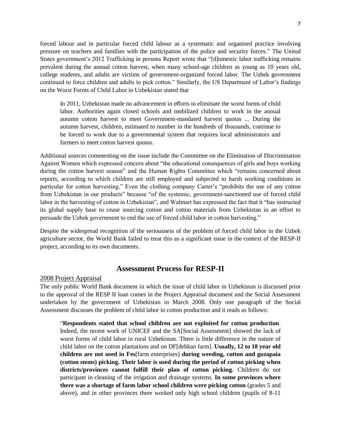forced labour and in particular forced child labour as a systematic and organised practice involving pressure on teachers and families with the participation of the police and security forces." The United States government's 2012 Trafficking in persons Report wrote that "[d]omestic labor trafficking remains prevalent during the annual cotton harvest, when many school-age children as young as 10 years old, college students, and adults are victims of government-organized forced labor. The Uzbek government continued to force children and adults to pick cotton." Similarly, the US Department of Labor's findings on the Worst Forms of Child Labor in Uzbekistan stated that

In 2011, Uzbekistan made no advancement in efforts to eliminate the worst forms of child labor. Authorities again closed schools and mobilized children to work in the annual autumn cotton harvest to meet Government-mandated harvest quotas ... During the autumn harvest, children, estimated to number in the hundreds of thousands, continue to be forced to work due to a governmental system that requires local administrators and farmers to meet cotton harvest quotas.

Additional sources commenting on the issue include the Committee on the Elimination of Discrimination Against Women which expressed concern about "the educational consequences of girls and boys working during the cotton harvest season" and the Human Rights Committee which "remains concerned about reports, according to which children are still employed and subjected to harsh working conditions in particular for cotton harvesting." Even the clothing company Carter's "prohibits the use of any cotton from Uzbekistan in our products" because "of the systemic, government-sanctioned use of forced child labor in the harvesting of cotton in Uzbekistan", and Walmart has expressed the fact that it "has instructed its global supply base to cease sourcing cotton and cotton materials from Uzbekistan in an effort to persuade the Uzbek government to end the use of forced child labor in cotton harvesting."

Despite the widespread recognition of the seriousness of the problem of forced child labor in the Uzbek agriculture sector, the World Bank failed to treat this as a significant issue in the context of the RESP-II project, according to its own documents.

## **Assessment Process for RESP-II**

#### <span id="page-6-1"></span><span id="page-6-0"></span>2008 Project Appraisal

The only public World Bank document in which the issue of child labor in Uzbekistan is discussed prior to the approval of the RESP II loan comes in the Project Appraisal document and the Social Assessment undertaken by the government of Uzbekistan in March 2008. Only one paragraph of the Social Assessment discusses the problem of child labor in cotton production and it reads as follows:

"**Respondents stated that school children are not exploited for cotton production**. Indeed, the recent work of UNICEF and the SA[Social Assessment] showed the lack of worst forms of child labor in rural Uzbekistan. There is little difference in the nature of child labor on the cotton plantations and on DF[dehkan farm]. **Usually, 12 to 18 year old children are not used in Fes**[farm enterprises] **during weeding, cotton and guzapaia (cotton stems) picking. Their labor is used during the period of cotton picking when districts/provinces cannot fulfill their plan of cotton picking**. Children do not participate in cleaning of the irrigation and drainage systems. **In some provinces where there was a shortage of farm labor school children were picking cotton** (grades 5 and above), and in other provinces there worked only high school children (pupils of 8-11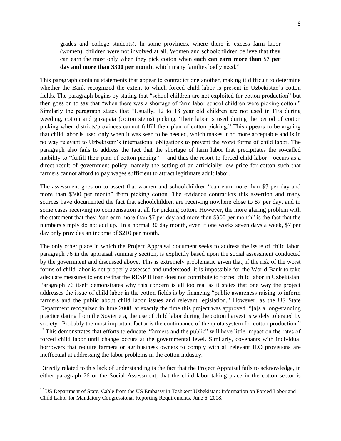grades and college students). In some provinces, where there is excess farm labor (women), children were not involved at all. Women and schoolchildren believe that they can earn the most only when they pick cotton when **each can earn more than \$7 per day and more than \$300 per month**, which many families badly need."

This paragraph contains statements that appear to contradict one another, making it difficult to determine whether the Bank recognized the extent to which forced child labor is present in Uzbekistan's cotton fields. The paragraph begins by stating that "school children are not exploited for cotton production" but then goes on to say that "when there was a shortage of farm labor school children were picking cotton." Similarly the paragraph states that "Usually, 12 to 18 year old children are not used in FEs during weeding, cotton and guzapaia (cotton stems) picking. Their labor is used during the period of cotton picking when districts/provinces cannot fulfill their plan of cotton picking." This appears to be arguing that child labor is used only when it was seen to be needed, which makes it no more acceptable and is in no way relevant to Uzbekistan's international obligations to prevent the worst forms of child labor. The paragraph also fails to address the fact that the shortage of farm labor that precipitates the so-called inability to "fulfill their plan of cotton picking" —and thus the resort to forced child labor—occurs as a direct result of government policy, namely the setting of an artificially low price for cotton such that farmers cannot afford to pay wages sufficient to attract legitimate adult labor.

The assessment goes on to assert that women and schoolchildren "can earn more than \$7 per day and more than \$300 per month" from picking cotton. The evidence contradicts this assertion and many sources have documented the fact that schoolchildren are receiving nowhere close to \$7 per day, and in some cases receiving no compensation at all for picking cotton. However, the more glaring problem with the statement that they "can earn more than \$7 per day and more than \$300 per month" is the fact that the numbers simply do not add up. In a normal 30 day month, even if one works seven days a week, \$7 per day only provides an income of \$210 per month.

The only other place in which the Project Appraisal document seeks to address the issue of child labor, paragraph 76 in the appraisal summary section, is explicitly based upon the social assessment conducted by the government and discussed above. This is extremely problematic given that, if the risk of the worst forms of child labor is not properly assessed and understood, it is impossible for the World Bank to take adequate measures to ensure that the RESP II loan does not contribute to forced child labor in Uzbekistan. Paragraph 76 itself demonstrates why this concern is all too real as it states that one way the project addresses the issue of child labor in the cotton fields is by financing "public awareness raising to inform farmers and the public about child labor issues and relevant legislation." However, as the US State Department recognized in June 2008, at exactly the time this project was approved, "[a]s a long-standing practice dating from the Soviet era, the use of child labor during the cotton harvest is widely tolerated by society. Probably the most important factor is the continuance of the quota system for cotton production." <sup>12</sup> This demonstrates that efforts to educate "farmers and the public" will have little impact on the rates of forced child labor until change occurs at the governmental level. Similarly, covenants with individual borrowers that require farmers or agribusiness owners to comply with all relevant ILO provisions are ineffectual at addressing the labor problems in the cotton industry.

Directly related to this lack of understanding is the fact that the Project Appraisal fails to acknowledge, in either paragraph 76 or the Social Assessment, that the child labor taking place in the cotton sector is

<sup>&</sup>lt;sup>12</sup> US Department of State, Cable from the US Embassy in Tashkent Uzbekistan: Information on Forced Labor and Child Labor for Mandatory Congressional Reporting Requirements, June 6, 2008.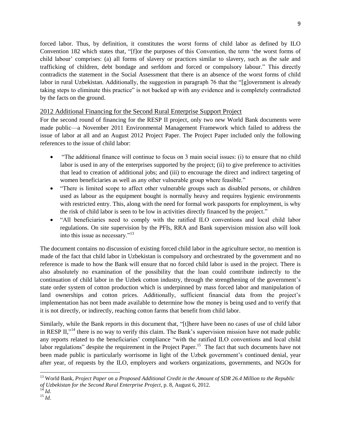forced labor. Thus, by definition, it constitutes the worst forms of child labor as defined by ILO Convention 182 which states that, "[f]or the purposes of this Convention, the term 'the worst forms of child labour' comprises: (a) all forms of slavery or practices similar to slavery, such as the sale and trafficking of children, debt bondage and serfdom and forced or compulsory labour." This directly contradicts the statement in the Social Assessment that there is an absence of the worst forms of child labor in rural Uzbekistan. Additionally, the suggestion in paragraph 76 that the "[g]overnment is already taking steps to eliminate this practice" is not backed up with any evidence and is completely contradicted by the facts on the ground.

## <span id="page-8-0"></span>2012 Additional Financing for the Second Rural Enterprise Support Project

For the second round of financing for the RESP II project, only two new World Bank documents were made public—a November 2011 Environmental Management Framework which failed to address the issue of labor at all and an August 2012 Project Paper. The Project Paper included only the following references to the issue of child labor:

- "The additional finance will continue to focus on 3 main social issues: (i) to ensure that no child labor is used in any of the enterprises supported by the project; (ii) to give preference to activities that lead to creation of additional jobs; and (iii) to encourage the direct and indirect targeting of women beneficiaries as well as any other vulnerable group where feasible."
- "There is limited scope to affect other vulnerable groups such as disabled persons, or children used as labour as the equipment bought is normally heavy and requires hygienic environments with restricted entry. This, along with the need for formal work passports for employment, is why the risk of child labor is seen to be low in activities directly financed by the project."
- "All beneficiaries need to comply with the ratified ILO conventions and local child labor regulations. On site supervision by the PFIs, RRA and Bank supervision mission also will look into this issue as necessary."<sup>13</sup>

The document contains no discussion of existing forced child labor in the agriculture sector, no mention is made of the fact that child labor in Uzbekistan is compulsory and orchestrated by the government and no reference is made to how the Bank will ensure that no forced child labor is used in the project. There is also absolutely no examination of the possibility that the loan could contribute indirectly to the continuation of child labor in the Uzbek cotton industry, through the strengthening of the government's state order system of cotton production which is underpinned by mass forced labor and manipulation of land ownerships and cotton prices. Additionally, sufficient financial data from the project's implementation has not been made available to determine how the money is being used and to verify that it is not directly, or indirectly, reaching cotton farms that benefit from child labor.

Similarly, while the Bank reports in this document that, "[t]here have been no cases of use of child labor in RESP II,"<sup>14</sup> there is no way to verify this claim. The Bank's supervision mission have not made public any reports related to the beneficiaries' compliance "with the ratified ILO conventions and local child labor regulations" despite the requirement in the Project Paper.<sup>15</sup> The fact that such documents have not been made public is particularly worrisome in light of the Uzbek government's continued denial, year after year, of requests by the ILO, employers and workers organizations, governments, and NGOs for

<sup>13</sup> World Bank, *Project Paper on a Proposed Additional Credit in the Amount of SDR 26.4 Million to the Republic of Uzbekistan for the Second Rural Enterprise Project*, p. 8, August 6, 2012.

<sup>14</sup> *Id.*  $\overline{15}$   $\overline{Id}$ .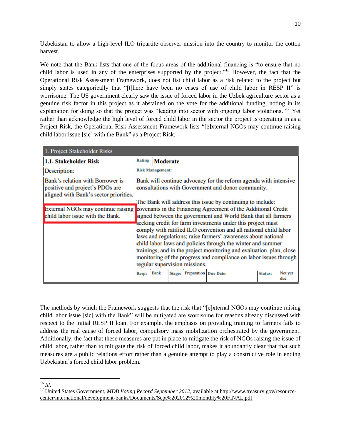Uzbekistan to allow a high-level ILO tripartite observer mission into the country to monitor the cotton harvest.

We note that the Bank lists that one of the focus areas of the additional financing is "to ensure that no child labor is used in any of the enterprises supported by the project."<sup>16</sup> However, the fact that the Operational Risk Assessment Framework, does not list child labor as a risk related to the project but simply states categorically that "[t]here have been no cases of use of child labor in RESP II" is worrisome. The US government clearly saw the issue of forced labor in the Uzbek agriculture sector as a genuine risk factor in this project as it abstained on the vote for the additional funding, noting in its explanation for doing so that the project was "leading into sector with ongoing labor violations."<sup>17</sup> Yet rather than acknowledge the high level of forced child labor in the sector the project is operating in as a Project Risk, the Operational Risk Assessment Framework lists "[e]xternal NGOs may continue raising child labor issue [sic] with the Bank" as a Project Risk.

| 1. Project Stakeholder Risks                                                                                  |                                                                                                                        |                 |  |                              |  |                |         |  |
|---------------------------------------------------------------------------------------------------------------|------------------------------------------------------------------------------------------------------------------------|-----------------|--|------------------------------|--|----------------|---------|--|
| 1.1. Stakeholder Risk                                                                                         | <b>Rating</b>                                                                                                          | <b>Moderate</b> |  |                              |  |                |         |  |
| Description:                                                                                                  | <b>Risk Management:</b>                                                                                                |                 |  |                              |  |                |         |  |
| Bank's relation with Borrower is<br>positive and project's PDOs are<br>aligned with Bank's sector priorities. | Bank will continue advocacy for the reform agenda with intensive<br>consultations with Government and donor community. |                 |  |                              |  |                |         |  |
|                                                                                                               | The Bank will address this issue by continuing to include:                                                             |                 |  |                              |  |                |         |  |
| External NGOs may continue raising                                                                            | covenants in the Financing Agreement of the Additional Credit                                                          |                 |  |                              |  |                |         |  |
| child labor issue with the Bank.                                                                              | signed between the government and World Bank that all farmers                                                          |                 |  |                              |  |                |         |  |
|                                                                                                               | seeking credit for farm investments under this project must                                                            |                 |  |                              |  |                |         |  |
|                                                                                                               | comply with ratified ILO convention and all national child labor                                                       |                 |  |                              |  |                |         |  |
|                                                                                                               | laws and regulations; raise farmers' awareness about national                                                          |                 |  |                              |  |                |         |  |
|                                                                                                               | child labor laws and policies through the winter and summer                                                            |                 |  |                              |  |                |         |  |
|                                                                                                               | trainings, and in the project monitoring and evaluation plan, close                                                    |                 |  |                              |  |                |         |  |
|                                                                                                               | monitoring of the progress and compliance on labor issues through                                                      |                 |  |                              |  |                |         |  |
|                                                                                                               | regular supervision missions.                                                                                          |                 |  |                              |  |                |         |  |
|                                                                                                               | <b>Resp:</b>                                                                                                           | <b>Bank</b>     |  | Stage: Preparation Due Date: |  | <b>Status:</b> | Not yet |  |
|                                                                                                               |                                                                                                                        |                 |  |                              |  |                | due     |  |

The methods by which the Framework suggests that the risk that "[e]xternal NGOs may continue raising child labor issue [sic] with the Bank" will be mitigated are worrisome for reasons already discussed with respect to the initial RESP II loan. For example, the emphasis on providing training to farmers fails to address the real cause of forced labor, compulsory mass mobilization orchestrated by the government. Additionally, the fact that these measures are put in place to mitigate the risk of NGOs raising the issue of child labor, rather than to mitigate the risk of forced child labor, makes it abundantly clear that that such measures are a public relations effort rather than a genuine attempt to play a constructive role in ending Uzbekistan's forced child labor problem.

 $\overline{\phantom{a}}$ <sup>16</sup> *Id*.

<sup>&</sup>lt;sup>17</sup> United States Government, *MDB Voting Record September 2012*, available at [http://www.treasury.gov/resource](http://www.treasury.gov/resource-center/international/development-banks/Documents/Sept%202012%20monthly%20FINAL.pdf)[center/international/development-banks/Documents/Sept%202012%20monthly%20FINAL.pdf](http://www.treasury.gov/resource-center/international/development-banks/Documents/Sept%202012%20monthly%20FINAL.pdf)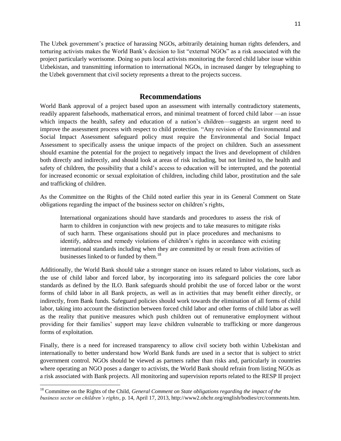The Uzbek government's practice of harassing NGOs, arbitrarily detaining human rights defenders, and torturing activists makes the World Bank's decision to list "external NGOs" as a risk associated with the project particularly worrisome. Doing so puts local activists monitoring the forced child labor issue within Uzbekistan, and transmitting information to international NGOs, in increased danger by telegraphing to the Uzbek government that civil society represents a threat to the projects success.

# **Recommendations**

<span id="page-10-0"></span>World Bank approval of a project based upon an assessment with internally contradictory statements, readily apparent falsehoods, mathematical errors, and minimal treatment of forced child labor —an issue which impacts the health, safety and education of a nation's children—suggests an urgent need to improve the assessment process with respect to child protection. "Any revision of the Environmental and Social Impact Assessment safeguard policy must require the Environmental and Social Impact Assessment to specifically assess the unique impacts of the project on children. Such an assessment should examine the potential for the project to negatively impact the lives and development of children both directly and indirectly, and should look at areas of risk including, but not limited to, the health and safety of children, the possibility that a child's access to education will be interrupted, and the potential for increased economic or sexual exploitation of children, including child labor, prostitution and the sale and trafficking of children.

As the Committee on the Rights of the Child noted earlier this year in its General Comment on State obligations regarding the impact of the business sector on children's rights,

International organizations should have standards and procedures to assess the risk of harm to children in conjunction with new projects and to take measures to mitigate risks of such harm. These organisations should put in place procedures and mechanisms to identify, address and remedy violations of children's rights in accordance with existing international standards including when they are committed by or result from activities of businesses linked to or funded by them.<sup>18</sup>

Additionally, the World Bank should take a stronger stance on issues related to labor violations, such as the use of child labor and forced labor, by incorporating into its safeguard policies the core labor standards as defined by the ILO. Bank safeguards should prohibit the use of forced labor or the worst forms of child labor in all Bank projects, as well as in activities that may benefit either directly, or indirectly, from Bank funds. Safeguard policies should work towards the elimination of all forms of child labor, taking into account the distinction between forced child labor and other forms of child labor as well as the reality that punitive measures which push children out of remunerative employment without providing for their families' support may leave children vulnerable to trafficking or more dangerous forms of exploitation.

Finally, there is a need for increased transparency to allow civil society both within Uzbekistan and internationally to better understand how World Bank funds are used in a sector that is subject to strict government control. NGOs should be viewed as partners rather than risks and, particularly in countries where operating an NGO poses a danger to activists, the World Bank should refrain from listing NGOs as a risk associated with Bank projects. All monitoring and supervision reports related to the RESP II project

<sup>&</sup>lt;sup>18</sup> Committee on the Rights of the Child, *General Comment on State obligations regarding the impact of the business sector on children's rights*, p. 14, April 17, 2013, http://www2.ohchr.org/english/bodies/crc/comments.htm.